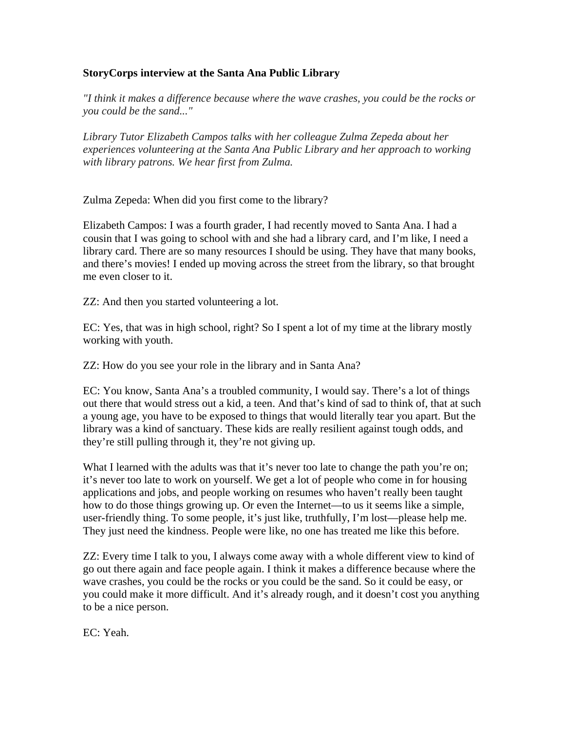## **StoryCorps interview at the Santa Ana Public Library**

*"I think it makes a difference because where the wave crashes, you could be the rocks or you could be the sand..."* 

*Library Tutor Elizabeth Campos talks with her colleague Zulma Zepeda about her experiences volunteering at the Santa Ana Public Library and her approach to working with library patrons. We hear first from Zulma.* 

Zulma Zepeda: When did you first come to the library?

Elizabeth Campos: I was a fourth grader, I had recently moved to Santa Ana. I had a cousin that I was going to school with and she had a library card, and I'm like, I need a library card. There are so many resources I should be using. They have that many books, and there's movies! I ended up moving across the street from the library, so that brought me even closer to it.

ZZ: And then you started volunteering a lot.

EC: Yes, that was in high school, right? So I spent a lot of my time at the library mostly working with youth.

ZZ: How do you see your role in the library and in Santa Ana?

EC: You know, Santa Ana's a troubled community, I would say. There's a lot of things out there that would stress out a kid, a teen. And that's kind of sad to think of, that at such a young age, you have to be exposed to things that would literally tear you apart. But the library was a kind of sanctuary. These kids are really resilient against tough odds, and they're still pulling through it, they're not giving up.

What I learned with the adults was that it's never too late to change the path you're on; it's never too late to work on yourself. We get a lot of people who come in for housing applications and jobs, and people working on resumes who haven't really been taught how to do those things growing up. Or even the Internet—to us it seems like a simple, user-friendly thing. To some people, it's just like, truthfully, I'm lost—please help me. They just need the kindness. People were like, no one has treated me like this before.

ZZ: Every time I talk to you, I always come away with a whole different view to kind of go out there again and face people again. I think it makes a difference because where the wave crashes, you could be the rocks or you could be the sand. So it could be easy, or you could make it more difficult. And it's already rough, and it doesn't cost you anything to be a nice person.

EC: Yeah.